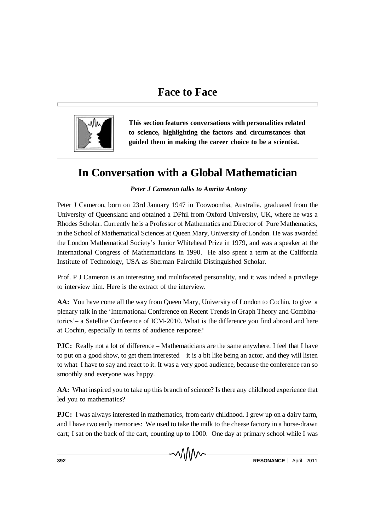# **Face to Face**



**This section features conversations with personalities related to science, highlighting the factors and circumstances that guided them in making the career choice to be a scientist.**

# **In Conversation with a Global Mathematician**

# *Peter J Cameron talks to Amrita Antony*

Peter J Cameron, born on 23rd January 1947 in Toowoomba, Australia, graduated from the University of Queensland and obtained a DPhil from Oxford University, UK, where he was a Rhodes Scholar. Currently he is a Professor of Mathematics and Director of Pure Mathematics, in the School of Mathematical Sciences at Queen Mary, University of London. He was awarded the London Mathematical Society's Junior Whitehead Prize in 1979, and was a speaker at the International Congress of Mathematicians in 1990. He also spent a term at the California Institute of Technology, USA as Sherman Fairchild Distinguished Scholar.

Prof. P J Cameron is an interesting and multifaceted personality, and it was indeed a privilege to interview him. Here is the extract of the interview.

AA: You have come all the way from Queen Mary, University of London to Cochin, to give a plenary talk in the 'International Conference on Recent Trends in Graph Theory and Combinatorics'– a Satellite Conference of ICM-2010. What is the difference you find abroad and here at Cochin, especially in terms of audience response?

**PJC:** Really not a lot of difference – Mathematicians are the same anywhere. I feel that I have to put on a good show, to get them interested – it is a bit like being an actor, and they will listen to what I have to say and react to it. It was a very good audience, because the conference ran so smoothly and everyone was happy.

**AA:** What inspired you to take up this branch of science? Is there any childhood experience that led you to mathematics?

**PJC:** I was always interested in mathematics, from early childhood. I grew up on a dairy farm, and I have two early memories: We used to take the milk to the cheese factory in a horse-drawn cart; I sat on the back of the cart, counting up to 1000. One day at primary school while I was

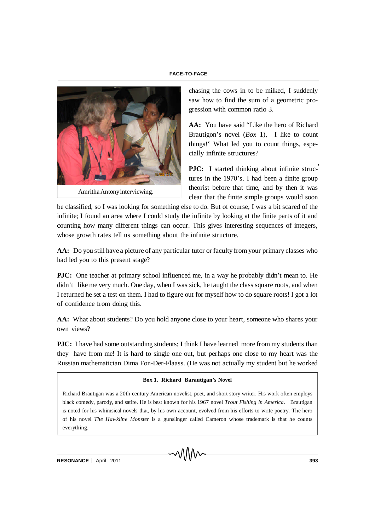

chasing the cows in to be milked, I suddenly saw how to find the sum of a geometric progression with common ratio 3.

**AA:** You have said "Like the hero of Richard Brautigon's novel (*Box* 1), I like to count things!" What led you to count things, especially infinite structures?

, **PJC:** I started thinking about infinite structures in the 1970's. I had been a finite group theorist before that time, and by then it was clear that the finite simple groups would soon

be classified, so I was looking for something else to do. But of course, I was a bit scared of the infinite; I found an area where I could study the infinite by looking at the finite parts of it and counting how many different things can occur. This gives interesting sequences of integers, whose growth rates tell us something about the infinite structure.

**AA:** Do you still have a picture of any particular tutor or faculty from your primary classes who had led you to this present stage?

**PJC:** One teacher at primary school influenced me, in a way he probably didn't mean to. He didn't like me very much. One day, when I was sick, he taught the class square roots, and when I returned he set a test on them. I had to figure out for myself how to do square roots! I got a lot of confidence from doing this.

**AA:** What about students? Do you hold anyone close to your heart, someone who shares your own views?

**PJC:** I have had some outstanding students; I think I have learned more from my students than they have from me! It is hard to single one out, but perhaps one close to my heart was the Russian mathematician Dima Fon-Der-Flaass. (He was not actually my student but he worked

# **Box 1. Richard Barautigan's Novel**

Richard Brautigan was a 20th century American novelist, poet, and short story writer. His work often employs black comedy, parody, and satire. He is best known for his 1967 novel *Trout Fishing in America*. Brautigan is noted for his whimsical novels that, by his own account, evolved from his efforts to write poetry. The hero of his novel *The Hawkline Monster* is a gunslinger called Cameron whose trademark is that he counts everything.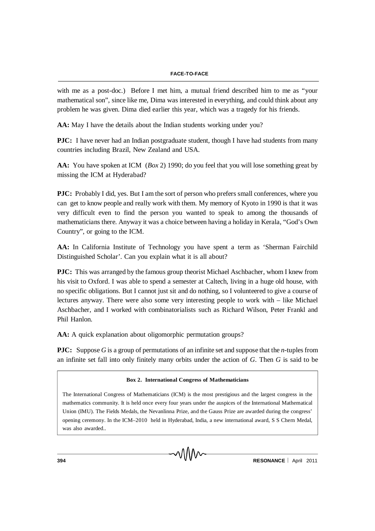with me as a post-doc.) Before I met him, a mutual friend described him to me as "your mathematical son", since like me, Dima was interested in everything, and could think about any problem he was given. Dima died earlier this year, which was a tragedy for his friends.

**AA:** May I have the details about the Indian students working under you?

**PJC:** I have never had an Indian postgraduate student, though I have had students from many countries including Brazil, New Zealand and USA.

**AA:** You have spoken at ICM (*Box* 2) 1990; do you feel that you will lose something great by missing the ICM at Hyderabad?

**PJC:** Probably I did, yes. But I am the sort of person who prefers small conferences, where you can get to know people and really work with them. My memory of Kyoto in 1990 is that it was very difficult even to find the person you wanted to speak to among the thousands of mathematicians there. Anyway it was a choice between having a holiday in Kerala, "God's Own Country", or going to the ICM.

**AA:** In California Institute of Technology you have spent a term as 'Sherman Fairchild Distinguished Scholar'. Can you explain what it is all about?

**PJC:** This was arranged by the famous group theorist Michael Aschbacher, whom I knew from his visit to Oxford. I was able to spend a semester at Caltech, living in a huge old house, with no specific obligations. But I cannot just sit and do nothing, so I volunteered to give a course of lectures anyway. There were also some very interesting people to work with – like Michael Aschbacher, and I worked with combinatorialists such as Richard Wilson, Peter Frankl and Phil Hanlon.

**AA:** A quick explanation about oligomorphic permutation groups?

**PJC:** Suppose *G* is a group of permutations of an infinite set and suppose that the *n*-tuples from an infinite set fall into only finitely many orbits under the action of *G*. Then *G* is said to be

#### **Box 2. International Congress of Mathematicians**

The International Congress of Mathematicians (ICM) is the most prestigious and the largest congress in the mathematics community. It is held once every four years under the auspices of the International Mathematical Union (IMU). The Fields Medals, the Nevanlinna Prize, and the Gauss Prize are awarded during the congress' opening ceremony. In the ICM–2010 held in Hyderabad, India, a new international award, S S Chern Medal, was also awarded..

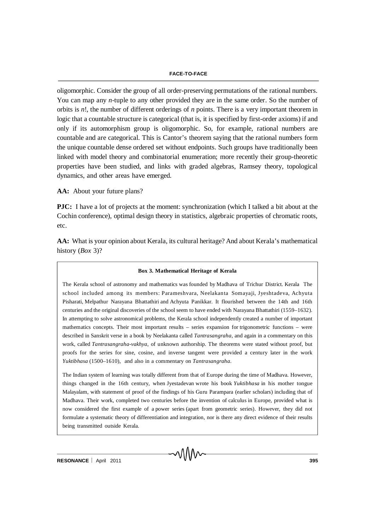oligomorphic. Consider the group of all order-preserving permutations of the rational numbers. You can map any *n*-tuple to any other provided they are in the same order. So the number of orbits is *n*!, the number of different orderings of *n* points. There is a very important theorem in logic that a countable structure is categorical (that is, it is specified by first-order axioms) if and only if its automorphism group is oligomorphic. So, for example, rational numbers are countable and are categorical. This is Cantor's theorem saying that the rational numbers form the unique countable dense ordered set without endpoints. Such groups have traditionally been linked with model theory and combinatorial enumeration; more recently their group-theoretic properties have been studied, and links with graded algebras, Ramsey theory, topological dynamics, and other areas have emerged.

# **AA:** About your future plans?

**PJC:** I have a lot of projects at the moment: synchronization (which I talked a bit about at the Cochin conference), optimal design theory in statistics, algebraic properties of chromatic roots, etc.

**AA:** What is your opinion about Kerala, its cultural heritage? And about Kerala's mathematical history (*Box* 3)?

#### **Box 3. Mathematical Heritage of Kerala**

The Kerala school of astronomy and mathematics was founded by Madhava of Trichur District. Kerala The school included among its members: Parameshvara, Neelakanta Somayaji, Jyeshtadeva, Achyuta Pisharati, Melpathur Narayana Bhattathiri and Achyuta Panikkar. It flourished between the 14th and 16th centuries and the original discoveries of the school seem to have ended with Narayana Bhattathiri (1559–1632). In attempting to solve astronomical problems, the Kerala school independently created a number of important mathematics concepts. Their most important results – series expansion for trigonometric functions – were described in Sanskrit verse in a book by Neelakanta called *Tantrasangraha*, and again in a commentary on this work, called *Tantrasangraha-vakhya*, of unknown authorship. The theorems were stated without proof, but proofs for the series for sine, cosine, and inverse tangent were provided a century later in the work *Yuktibhasa* (1500–1610), and also in a commentary on *Tantrasangraha*.

The Indian system of learning was totally different from that of Europe during the time of Madhava. However, things changed in the 16th century, when Jyestadevan wrote his book *Yuktibhasa* in his mother tongue Malayalam, with statement of proof of the findings of his Guru Parampara (earlier scholars) including that of Madhava. Their work, completed two centuries before the invention of calculus in Europe, provided what is now considered the first example of a power series (apart from geometric series). However, they did not formulate a systematic theory of differentiation and integration, nor is there any direct evidence of their results being transmitted outside Kerala.

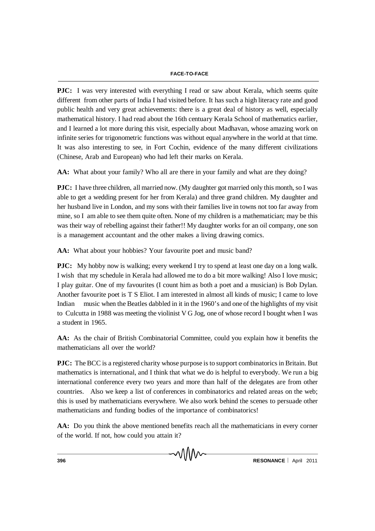**PJC:** I was very interested with everything I read or saw about Kerala, which seems quite different from other parts of India I had visited before. It has such a high literacy rate and good public health and very great achievements: there is a great deal of history as well, especially mathematical history. I had read about the 16th centuary Kerala School of mathematics earlier, and I learned a lot more during this visit, especially about Madhavan, whose amazing work on infinite series for trigonometric functions was without equal anywhere in the world at that time. It was also interesting to see, in Fort Cochin, evidence of the many different civilizations (Chinese, Arab and European) who had left their marks on Kerala.

**AA:** What about your family? Who all are there in your family and what are they doing?

**PJC:** I have three children, all married now. (My daughter got married only this month, so I was able to get a wedding present for her from Kerala) and three grand children. My daughter and her husband live in London, and my sons with their families live in towns not too far away from mine, so I am able to see them quite often. None of my children is a mathematician; may be this was their way of rebelling against their father!! My daughter works for an oil company, one son is a management accountant and the other makes a living drawing comics.

**AA:** What about your hobbies? Your favourite poet and music band?

**PJC:** My hobby now is walking; every weekend I try to spend at least one day on a long walk. I wish that my schedule in Kerala had allowed me to do a bit more walking! Also I love music; I play guitar. One of my favourites (I count him as both a poet and a musician) is Bob Dylan. Another favourite poet is T S Eliot. I am interested in almost all kinds of music; I came to love Indian music when the Beatles dabbled in it in the 1960's and one of the highlights of my visit to Culcutta in 1988 was meeting the violinist V G Jog, one of whose record I bought when I was a student in 1965.

**AA:** As the chair of British Combinatorial Committee, could you explain how it benefits the mathematicians all over the world?

**PJC:** The BCC is a registered charity whose purpose is to support combinatorics in Britain. But mathematics is international, and I think that what we do is helpful to everybody. We run a big international conference every two years and more than half of the delegates are from other countries. Also we keep a list of conferences in combinatorics and related areas on the web; this is used by mathematicians everywhere. We also work behind the scenes to persuade other mathematicians and funding bodies of the importance of combinatorics!

**AA:** Do you think the above mentioned benefits reach all the mathematicians in every corner of the world. If not, how could you attain it?

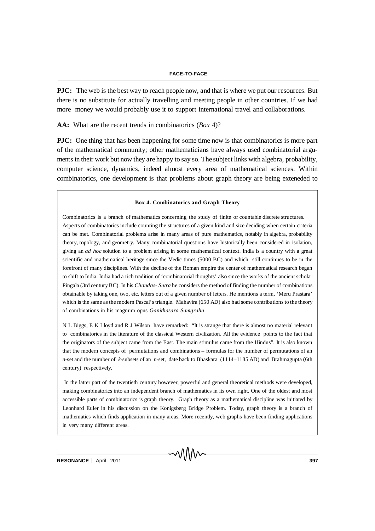**PJC:** The web is the best way to reach people now, and that is where we put our resources. But there is no substitute for actually travelling and meeting people in other countries. If we had more money we would probably use it to support international travel and collaborations.

**AA:** What are the recent trends in combinatorics (*Box* 4)?

**PJC:** One thing that has been happening for some time now is that combinatorics is more part of the mathematical community; other mathematicians have always used combinatorial arguments in their work but now they are happy to say so. The subject links with algebra, probability, computer science, dynamics, indeed almost every area of mathematical sciences. Within combinatorics, one development is that problems about graph theory are being exteneded to

#### **Box 4. Combinatorics and Graph Theory**

Combinatorics is a branch of mathematics concerning the study of finite or countable discrete structures. Aspects of combinatorics include counting the structures of a given kind and size deciding when certain criteria can be met. Combinatorial problems arise in many areas of pure mathematics, notably in algebra, probability theory, topology, and geometry. Many combinatorial questions have historically been considered in isolation, giving an *ad hoc* solution to a problem arising in some mathematical context. India is a country with a great scientific and mathematical heritage since the Vedic times (5000 BC) and which still continues to be in the forefront of many disciplines. With the decline of the Roman empire the center of mathematical research began to shift to India. India had a rich tradition of 'combinatorial thoughts' also since the works of the ancient scholar Pingala (3rd century BC). In his *Chandas- Sutra* he considers the method of finding the number of combinations obtainable by taking one, two, etc. letters out of a given number of letters. He mentions a term, 'Meru Prastara' which is the same as the modern Pascal's triangle. Mahavira (650 AD) also had some contributions to the theory of combinations in his magnum opus *Ganithasara Samgraha*.

N L Biggs, E K Lloyd and R J Wilson have remarked: "It is strange that there is almost no material relevant to combinatorics in the literature of the classical Western civilization. All the evidence points to the fact that the originators of the subject came from the East. The main stimulus came from the Hindus". It is also known that the modern concepts of permutations and combinations – formulas for the number of permutations of an *n*-set and the number of *k*-subsets of an *n*-set, date back to Bhaskara (1114–1185 AD) and Brahmagupta **(**6th century) respectively.

In the latter part of the twentieth century however, powerful and general theoretical methods were developed, making combinatorics into an independent branch of mathematics in its own right. One of the oldest and most accessible parts of combinatorics is graph theory. Graph theory as a mathematical discipline was initiated by Leonhard Euler in his discussion on the Konigsberg Bridge Problem. Today, graph theory is a branch of mathematics which finds application in many areas. More recently, web graphs have been finding applications in very many different areas.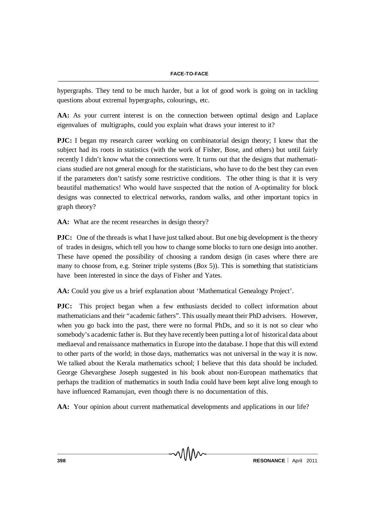hypergraphs. They tend to be much harder, but a lot of good work is going on in tackling questions about extremal hypergraphs, colourings, etc.

**AA:** As your current interest is on the connection between optimal design and Laplace eigenvalues of multigraphs, could you explain what draws your interest to it?

**PJC:** I began my research career working on combinatorial design theory; I knew that the subject had its roots in statistics (with the work of Fisher, Bose, and others) but until fairly recently I didn't know what the connections were. It turns out that the designs that mathematicians studied are not general enough for the statisticians, who have to do the best they can even if the parameters don't satisfy some restrictive conditions. The other thing is that it is very beautiful mathematics! Who would have suspected that the notion of A-optimality for block designs was connected to electrical networks, random walks, and other important topics in graph theory?

AA: What are the recent researches in design theory?

**PJC:** One of the threads is what I have just talked about. But one big development is the theory of trades in designs, which tell you how to change some blocks to turn one design into another. These have opened the possibility of choosing a random design (in cases where there are many to choose from, e.g. Steiner triple systems (*Box* 5)). This is something that statisticians have been interested in since the days of Fisher and Yates.

**AA:** Could you give us a brief explanation about 'Mathematical Genealogy Project'.

**PJC:** This project began when a few enthusiasts decided to collect information about mathematicians and their "academic fathers". This usually meant their PhD advisers. However, when you go back into the past, there were no formal PhDs, and so it is not so clear who somebody's academic father is. But they have recently been putting a lot of historical data about mediaeval and renaissance mathematics in Europe into the database. I hope that this will extend to other parts of the world; in those days, mathematics was not universal in the way it is now. We talked about the Kerala mathematics school; I believe that this data should be included. George Ghevarghese Joseph suggested in his book about non-European mathematics that perhaps the tradition of mathematics in south India could have been kept alive long enough to have influenced Ramanujan, even though there is no documentation of this.

**AA:** Your opinion about current mathematical developments and applications in our life?